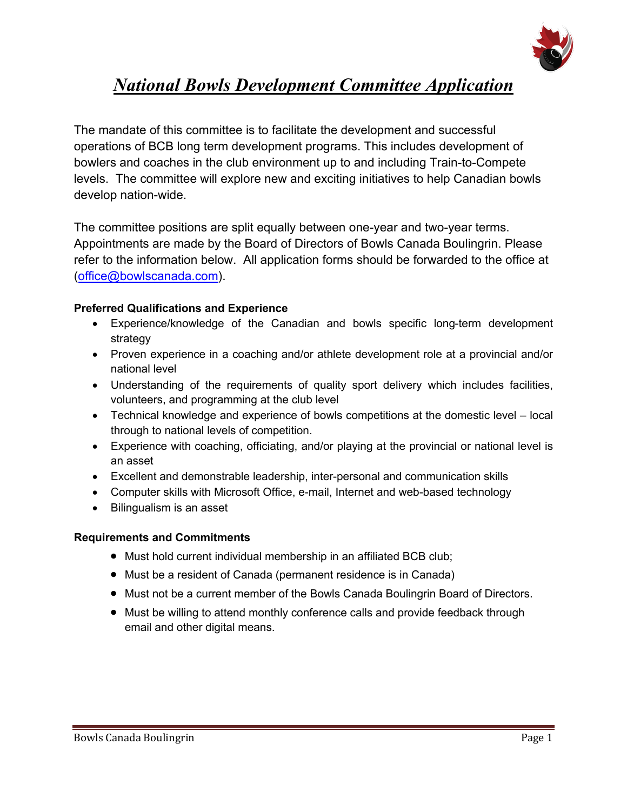

# *National Bowls Development Committee Application*

The mandate of this committee is to facilitate the development and successful operations of BCB long term development programs. This includes development of bowlers and coaches in the club environment up to and including Train-to-Compete levels. The committee will explore new and exciting initiatives to help Canadian bowls develop nation-wide.

The committee positions are split equally between one-year and two-year terms. Appointments are made by the Board of Directors of Bowls Canada Boulingrin. Please refer to the information below. All application forms should be forwarded to the office at (office@bowlscanada.com).

#### **Preferred Qualifications and Experience**

- Experience/knowledge of the Canadian and bowls specific long-term development strategy
- Proven experience in a coaching and/or athlete development role at a provincial and/or national level
- Understanding of the requirements of quality sport delivery which includes facilities, volunteers, and programming at the club level
- Technical knowledge and experience of bowls competitions at the domestic level local through to national levels of competition.
- Experience with coaching, officiating, and/or playing at the provincial or national level is an asset
- Excellent and demonstrable leadership, inter-personal and communication skills
- Computer skills with Microsoft Office, e-mail, Internet and web-based technology
- Bilingualism is an asset

#### **Requirements and Commitments**

- Must hold current individual membership in an affiliated BCB club;
- Must be a resident of Canada (permanent residence is in Canada)
- Must not be a current member of the Bowls Canada Boulingrin Board of Directors.
- Must be willing to attend monthly conference calls and provide feedback through email and other digital means.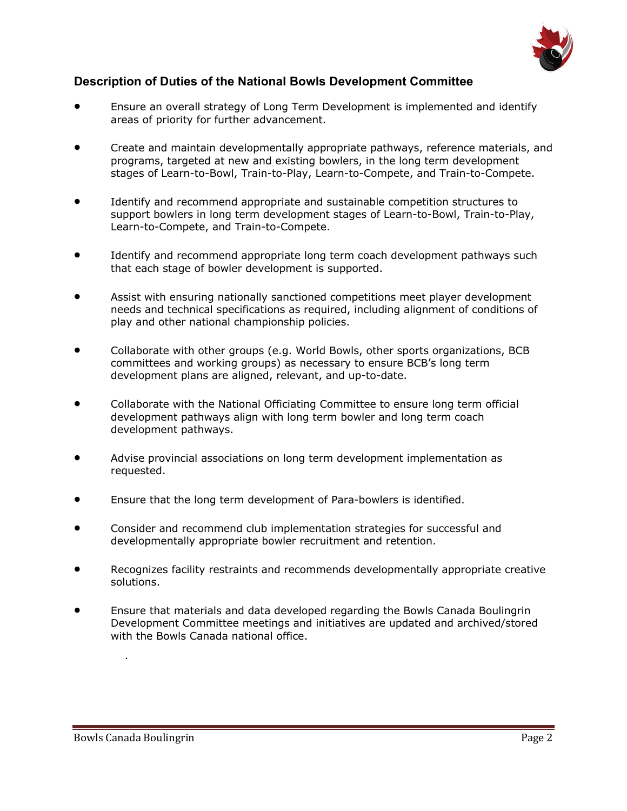

#### **Description of Duties of the National Bowls Development Committee**

- Ensure an overall strategy of Long Term Development is implemented and identify areas of priority for further advancement.
- Create and maintain developmentally appropriate pathways, reference materials, and programs, targeted at new and existing bowlers, in the long term development stages of Learn-to-Bowl, Train-to-Play, Learn-to-Compete, and Train-to-Compete.
- Identify and recommend appropriate and sustainable competition structures to support bowlers in long term development stages of Learn-to-Bowl, Train-to-Play, Learn-to-Compete, and Train-to-Compete.
- Identify and recommend appropriate long term coach development pathways such that each stage of bowler development is supported.
- Assist with ensuring nationally sanctioned competitions meet player development needs and technical specifications as required, including alignment of conditions of play and other national championship policies.
- Collaborate with other groups (e.g. World Bowls, other sports organizations, BCB committees and working groups) as necessary to ensure BCB's long term development plans are aligned, relevant, and up-to-date.
- Collaborate with the National Officiating Committee to ensure long term official development pathways align with long term bowler and long term coach development pathways.
- Advise provincial associations on long term development implementation as requested.
- Ensure that the long term development of Para-bowlers is identified.
- Consider and recommend club implementation strategies for successful and developmentally appropriate bowler recruitment and retention.
- Recognizes facility restraints and recommends developmentally appropriate creative solutions.
- Ensure that materials and data developed regarding the Bowls Canada Boulingrin Development Committee meetings and initiatives are updated and archived/stored with the Bowls Canada national office.

.